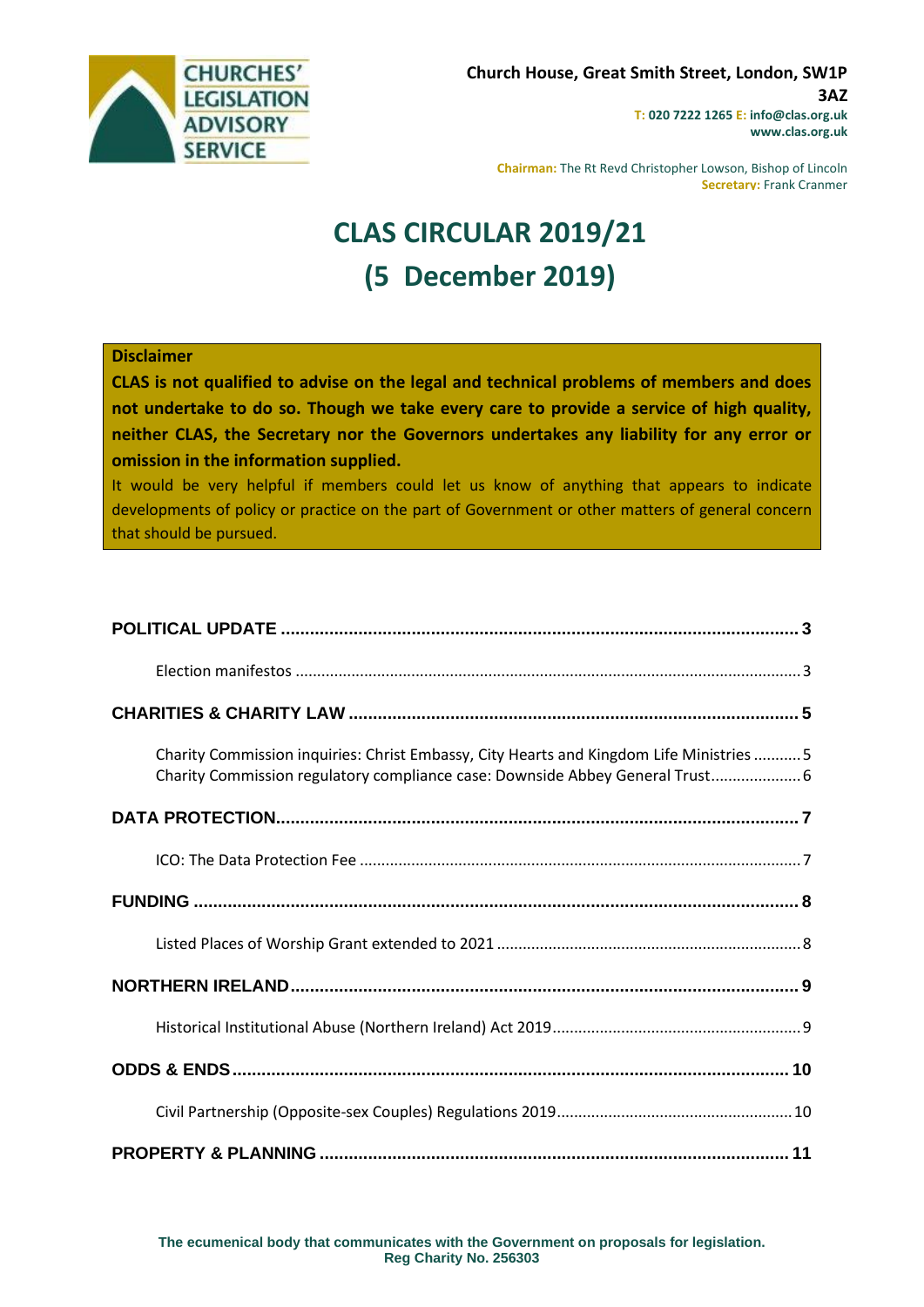

**Chairman:** The Rt Revd Christopher Lowson, Bishop of Lincoln **Secretary:** Frank Cranmer

# **CLAS CIRCULAR 2019/21 (5 December 2019)**

#### **Disclaimer**

**CLAS is not qualified to advise on the legal and technical problems of members and does not undertake to do so. Though we take every care to provide a service of high quality, neither CLAS, the Secretary nor the Governors undertakes any liability for any error or omission in the information supplied.**

It would be very helpful if members could let us know of anything that appears to indicate developments of policy or practice on the part of Government or other matters of general concern that should be pursued.

| Charity Commission inquiries: Christ Embassy, City Hearts and Kingdom Life Ministries  5<br>Charity Commission regulatory compliance case: Downside Abbey General Trust 6 |  |
|---------------------------------------------------------------------------------------------------------------------------------------------------------------------------|--|
|                                                                                                                                                                           |  |
|                                                                                                                                                                           |  |
|                                                                                                                                                                           |  |
|                                                                                                                                                                           |  |
|                                                                                                                                                                           |  |
|                                                                                                                                                                           |  |
|                                                                                                                                                                           |  |
|                                                                                                                                                                           |  |
|                                                                                                                                                                           |  |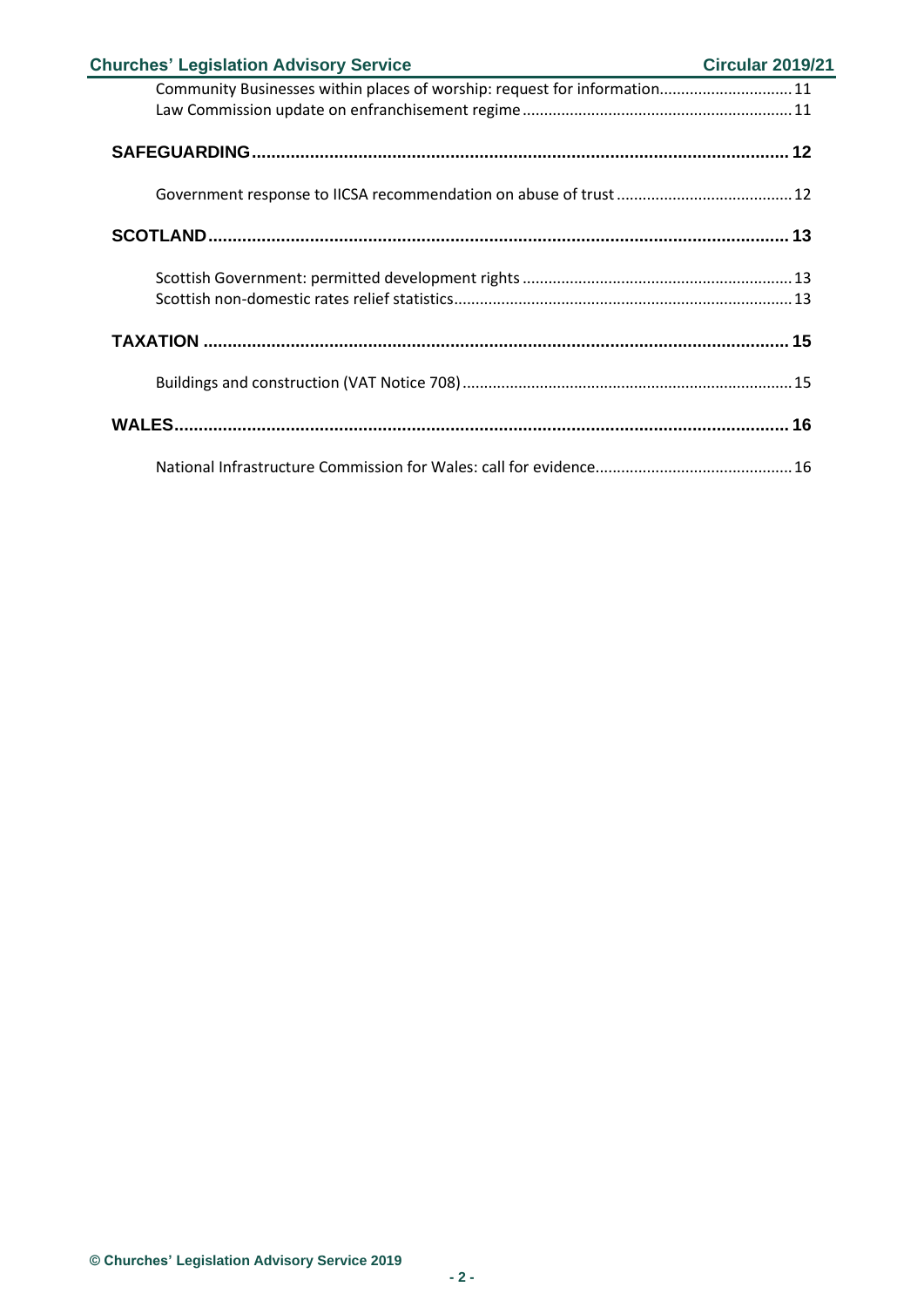| <b>Churches' Legislation Advisory Service</b>                             | Circular 2019/21 |
|---------------------------------------------------------------------------|------------------|
| Community Businesses within places of worship: request for information 11 |                  |
|                                                                           |                  |
|                                                                           |                  |
|                                                                           |                  |
|                                                                           |                  |
|                                                                           |                  |
|                                                                           |                  |
|                                                                           |                  |
|                                                                           |                  |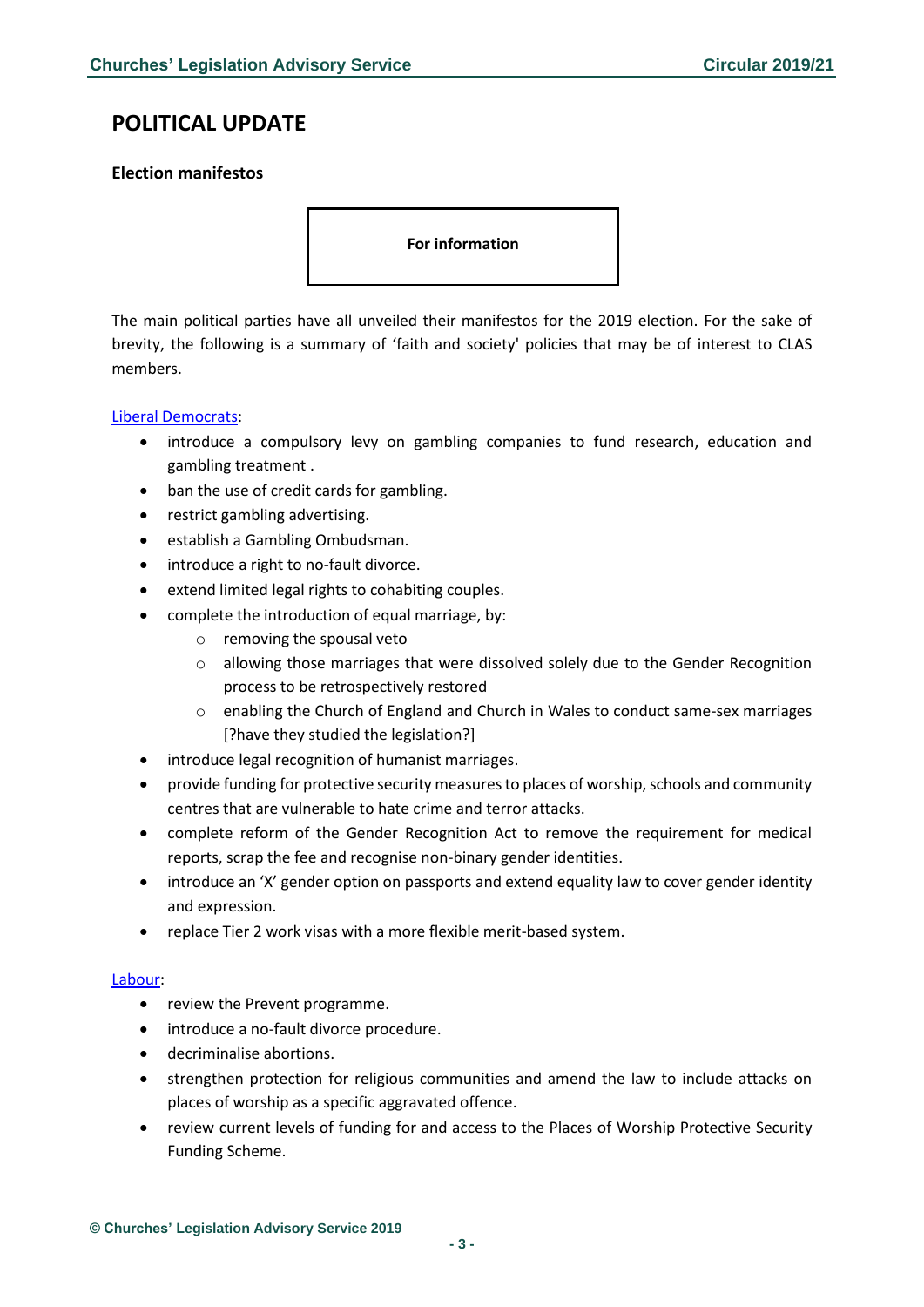# <span id="page-2-0"></span>**POLITICAL UPDATE**

### <span id="page-2-1"></span>**Election manifestos**

**For information** 

The main political parties have all unveiled their manifestos for the 2019 election. For the sake of brevity, the following is a summary of 'faith and society' policies that may be of interest to CLAS members.

#### [Liberal Democrats:](https://www.libdems.org.uk/plan)

- introduce a compulsory levy on gambling companies to fund research, education and gambling treatment .
- ban the use of credit cards for gambling.
- restrict gambling advertising.
- establish a Gambling Ombudsman.
- introduce a right to no-fault divorce.
- extend limited legal rights to cohabiting couples.
- complete the introduction of equal marriage, by:
	- o removing the spousal veto
	- o allowing those marriages that were dissolved solely due to the Gender Recognition process to be retrospectively restored
	- o enabling the Church of England and Church in Wales to conduct same-sex marriages [?have they studied the legislation?]
- introduce legal recognition of humanist marriages.
- provide funding for protective security measures to places of worship, schools and community centres that are vulnerable to hate crime and terror attacks.
- complete reform of the Gender Recognition Act to remove the requirement for medical reports, scrap the fee and recognise non-binary gender identities.
- introduce an 'X' gender option on passports and extend equality law to cover gender identity and expression.
- replace Tier 2 work visas with a more flexible merit-based system.

#### [Labour:](https://labour.org.uk/manifesto/)

- review the Prevent programme.
- introduce a no-fault divorce procedure.
- decriminalise abortions.
- strengthen protection for religious communities and amend the law to include attacks on places of worship as a specific aggravated offence.
- review current levels of funding for and access to the Places of Worship Protective Security Funding Scheme.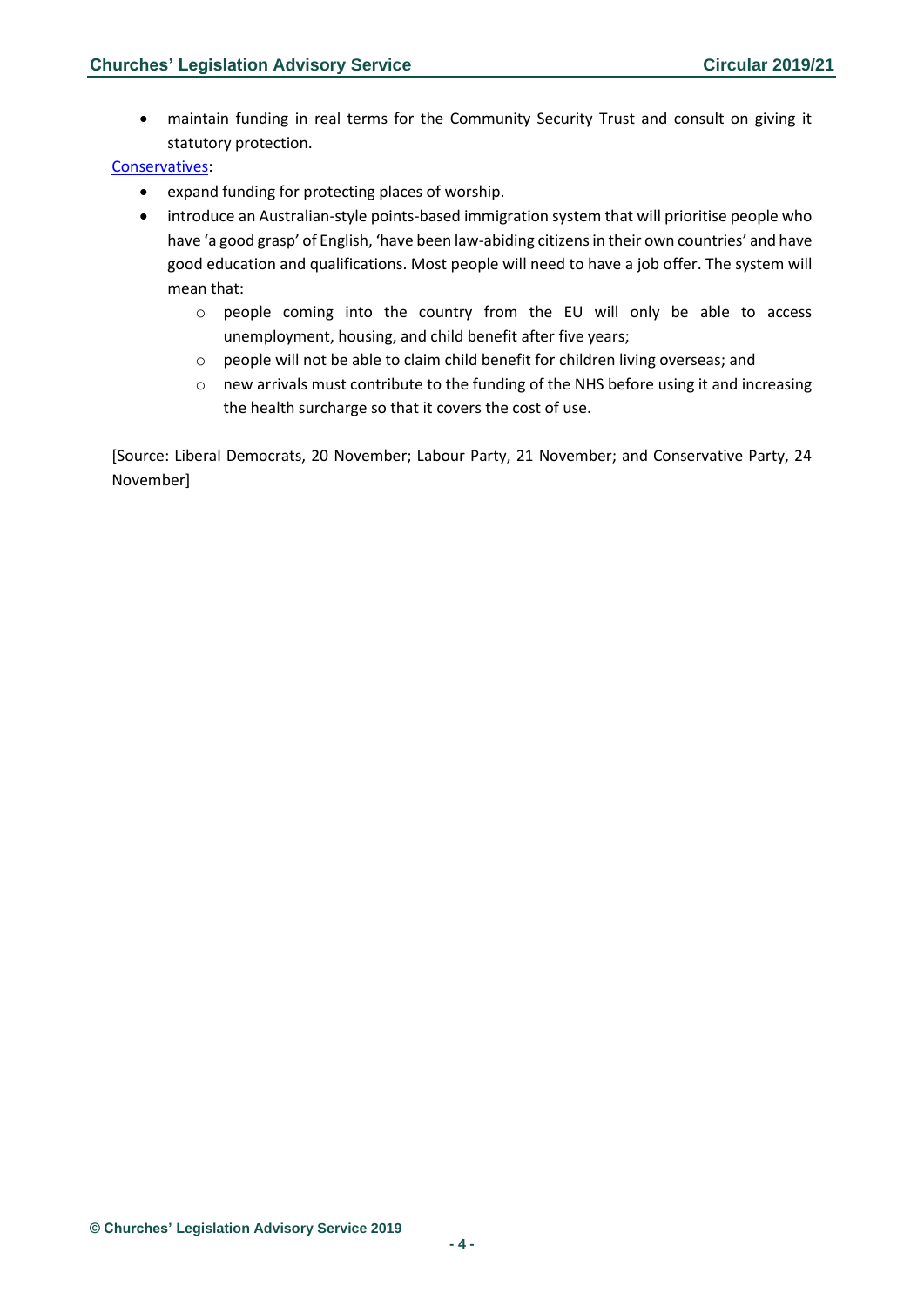• maintain funding in real terms for the Community Security Trust and consult on giving it statutory protection.

#### [Conservatives:](https://vote.conservatives.com/our-plan)

- expand funding for protecting places of worship.
- introduce an Australian-style points-based immigration system that will prioritise people who have 'a good grasp' of English, 'have been law-abiding citizens in their own countries' and have good education and qualifications. Most people will need to have a job offer. The system will mean that:
	- o people coming into the country from the EU will only be able to access unemployment, housing, and child benefit after five years;
	- o people will not be able to claim child benefit for children living overseas; and
	- o new arrivals must contribute to the funding of the NHS before using it and increasing the health surcharge so that it covers the cost of use.

[Source: Liberal Democrats, 20 November; Labour Party, 21 November; and Conservative Party, 24 November]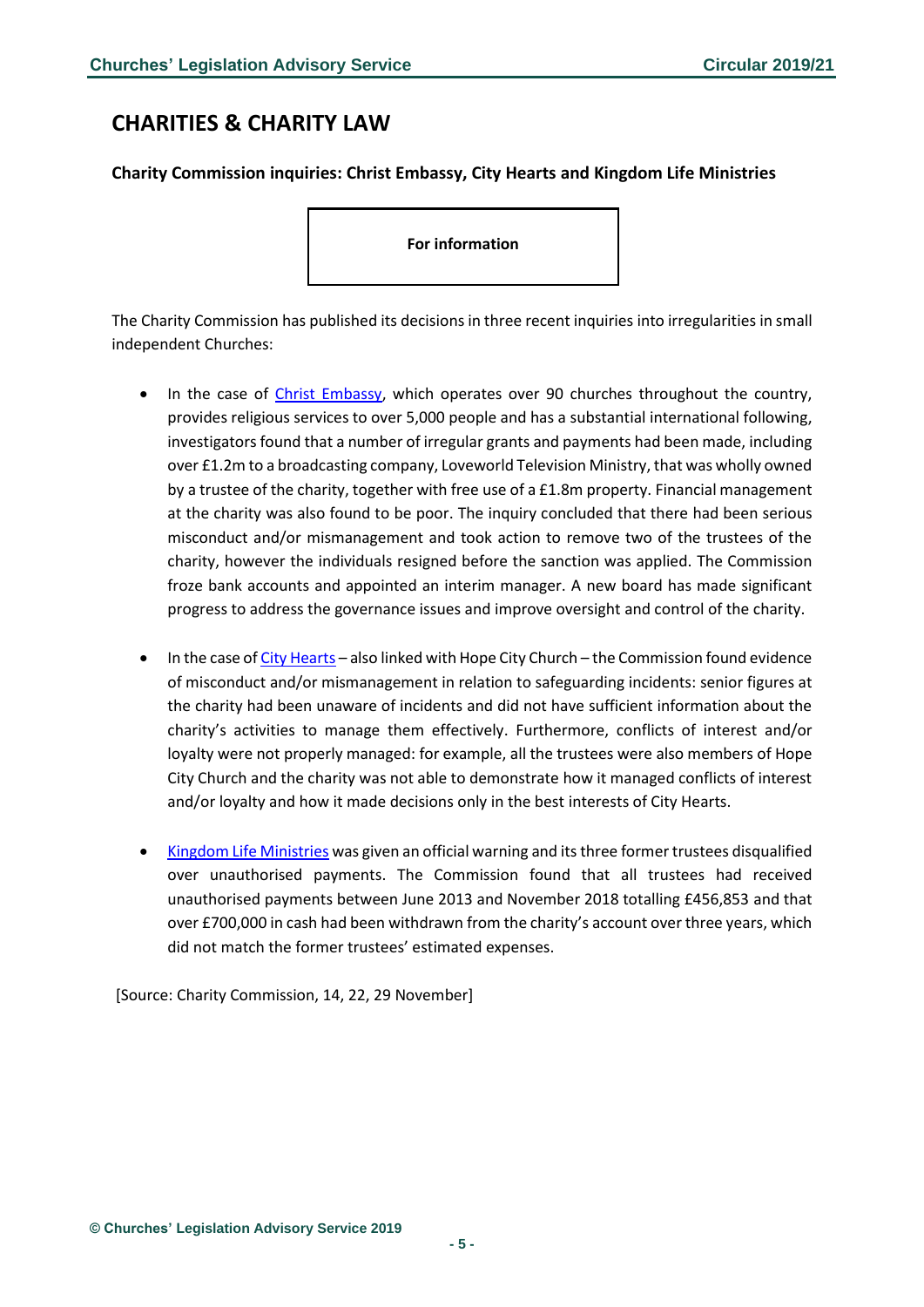# <span id="page-4-0"></span>**CHARITIES & CHARITY LAW**

#### <span id="page-4-1"></span>**Charity Commission inquiries: Christ Embassy, City Hearts and Kingdom Life Ministries**

**For information** 

The Charity Commission has published its decisions in three recent inquiries into irregularities in small independent Churches:

- In the case of [Christ Embassy,](https://www.gov.uk/government/news/new-board-addresses-governance-failings-at-christ-embassy-following-regulators-inquiry) which operates over 90 churches throughout the country, provides religious services to over 5,000 people and has a substantial international following, investigators found that a number of irregular grants and payments had been made, including over £1.2m to a broadcasting company, Loveworld Television Ministry, that was wholly owned by a trustee of the charity, together with free use of a £1.8m property. Financial management at the charity was also found to be poor. The inquiry concluded that there had been serious misconduct and/or mismanagement and took action to remove two of the trustees of the charity, however the individuals resigned before the sanction was applied. The Commission froze bank accounts and appointed an interim manager. A new board has made significant progress to address the governance issues and improve oversight and control of the charity.
- In the case o[f City Hearts](https://www.gov.uk/government/publications/city-hearts-regulatory-compliance-case-conclusions/city-hearts-regulatory-compliance-case-conclusions) also linked with Hope City Church the Commission found evidence of misconduct and/or mismanagement in relation to safeguarding incidents: senior figures at the charity had been unaware of incidents and did not have sufficient information about the charity's activities to manage them effectively. Furthermore, conflicts of interest and/or loyalty were not properly managed: for example, all the trustees were also members of Hope City Church and the charity was not able to demonstrate how it managed conflicts of interest and/or loyalty and how it made decisions only in the best interests of City Hearts.
- [Kingdom Life Ministries](https://www.gov.uk/government/news/kingdom-life-ministries-inquiry-charity-trustees-disqualified-after-unauthorised-payments-of-over-450k-and-cash-withdrawals-of-over-700k?utm_source=a5040580-342e-4d75-a944-faa3f404ddbc&utm_medium=email&utm_campaign=govuk-notifications&utm_content=daily) was given an official warning and its three former trustees disqualified over unauthorised payments. The Commission found that all trustees had received unauthorised payments between June 2013 and November 2018 totalling £456,853 and that over £700,000 in cash had been withdrawn from the charity's account over three years, which did not match the former trustees' estimated expenses.

[Source: Charity Commission, 14, 22, 29 November]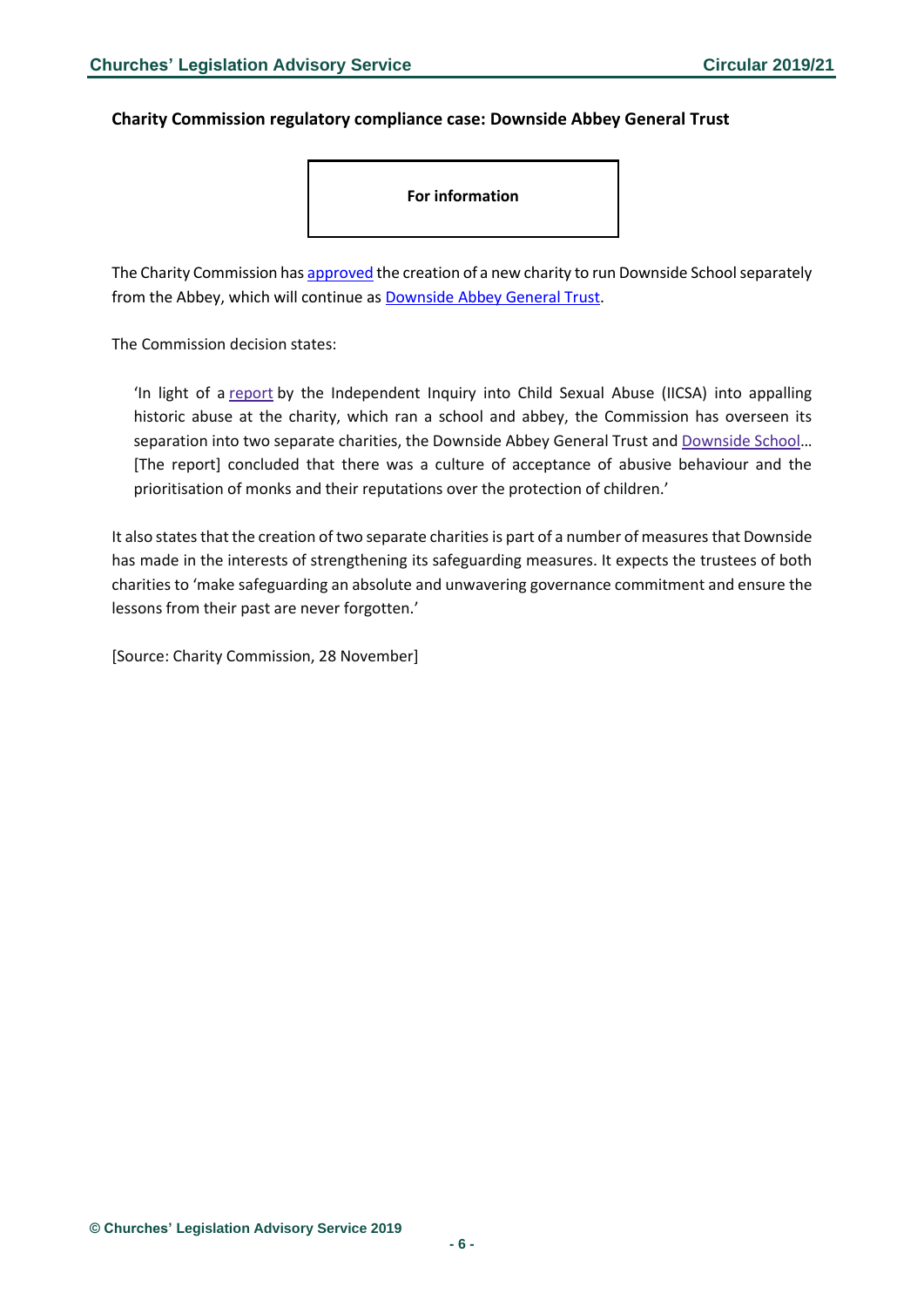#### <span id="page-5-0"></span>**Charity Commission regulatory compliance case: Downside Abbey General Trust**

**For information** 

The Charity Commission ha[s approved](https://www.gov.uk/government/publications/downside-regulatory-compliance-case-conclusions/downside-regulatory-compliance-case-conclusions) the creation of a new charity to run Downside School separately from the Abbey, which will continue as [Downside Abbey General Trust.](https://beta.charitycommission.gov.uk/charity-details/?regid=1158507&subid=0)

The Commission decision states:

'In light of a [report](https://www.iicsa.org.uk/news/inquiry-publishes-report-ampleforth-and-downside) by the Independent Inquiry into Child Sexual Abuse (IICSA) into appalling historic abuse at the charity, which ran a school and abbey, the Commission has overseen its separation into two separate charities, the Downside Abbey General Trust and [Downside](https://beta.charitycommission.gov.uk/charity-details/?regid=1184700&subid=0) School… [The report] concluded that there was a culture of acceptance of abusive behaviour and the prioritisation of monks and their reputations over the protection of children.'

It also states that the creation of two separate charities is part of a number of measures that Downside has made in the interests of strengthening its safeguarding measures. It expects the trustees of both charities to 'make safeguarding an absolute and unwavering governance commitment and ensure the lessons from their past are never forgotten.'

[Source: Charity Commission, 28 November]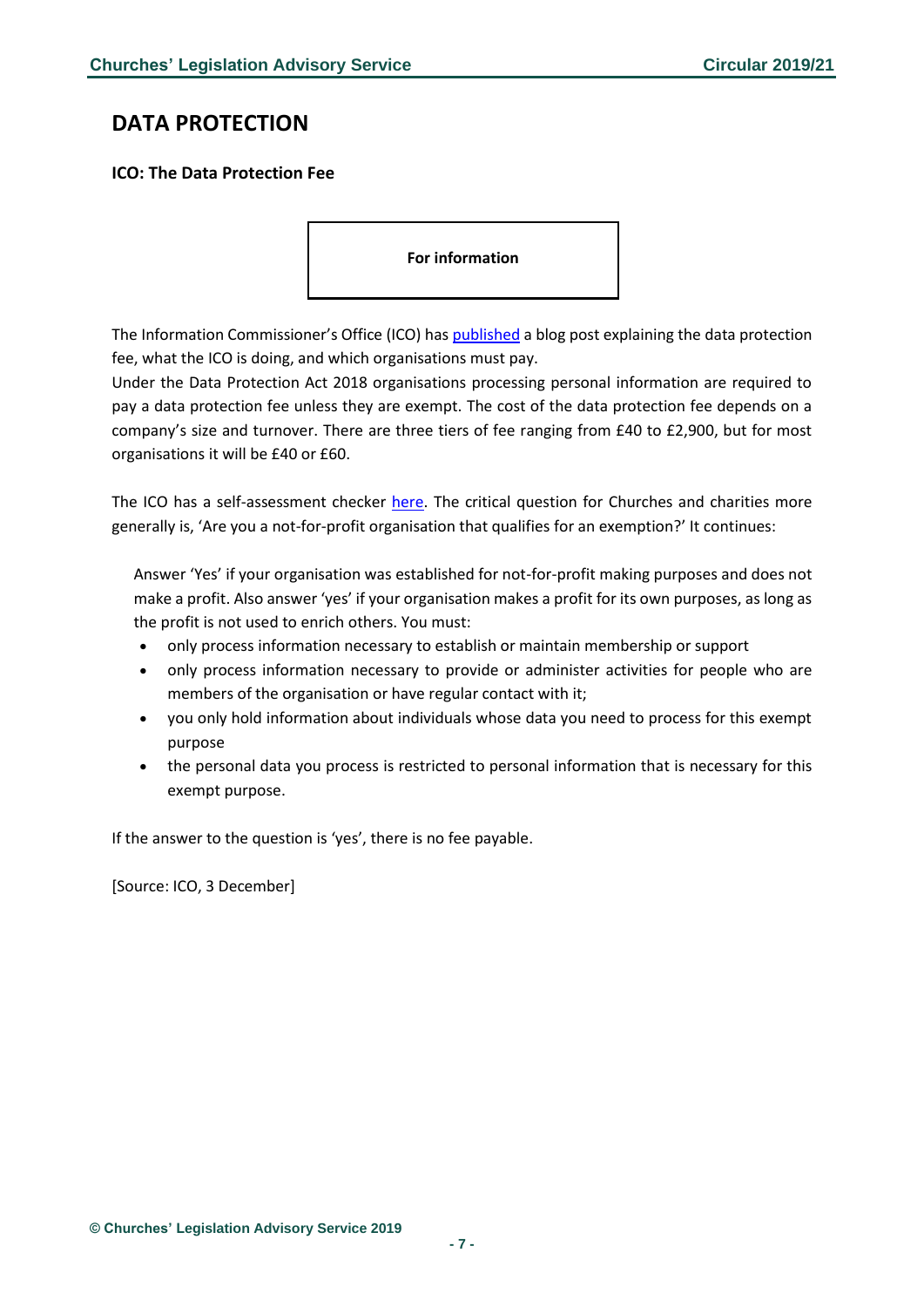# <span id="page-6-0"></span>**DATA PROTECTION**

### <span id="page-6-1"></span>**ICO: The Data Protection Fee**

**For information** 

The Information Commissioner's Office (ICO) has [published](https://ico.org.uk/about-the-ico/news-and-events/news-and-blogs/2019/12/the-data-protection-fee-does-your-company-need-to-pay/) a blog post explaining the data protection fee, what the ICO is doing, and which organisations must pay.

Under the Data Protection Act 2018 organisations processing personal information are required to pay a data protection fee unless they are exempt. The cost of the data protection fee depends on a company's size and turnover. There are three tiers of fee ranging from £40 to £2,900, but for most organisations it will be £40 or £60.

The ICO has a self-assessment checker [here.](https://ico.org.uk/for-organisations/data-protection-fee/self-assessment/y) The critical question for Churches and charities more generally is, 'Are you a not-for-profit organisation that qualifies for an exemption?' It continues:

Answer 'Yes' if your organisation was established for not-for-profit making purposes and does not make a profit. Also answer 'yes' if your organisation makes a profit for its own purposes, as long as the profit is not used to enrich others. You must:

- only process information necessary to establish or maintain membership or support
- only process information necessary to provide or administer activities for people who are members of the organisation or have regular contact with it;
- you only hold information about individuals whose data you need to process for this exempt purpose
- the personal data you process is restricted to personal information that is necessary for this exempt purpose.

If the answer to the question is 'yes', there is no fee payable.

[Source: ICO, 3 December]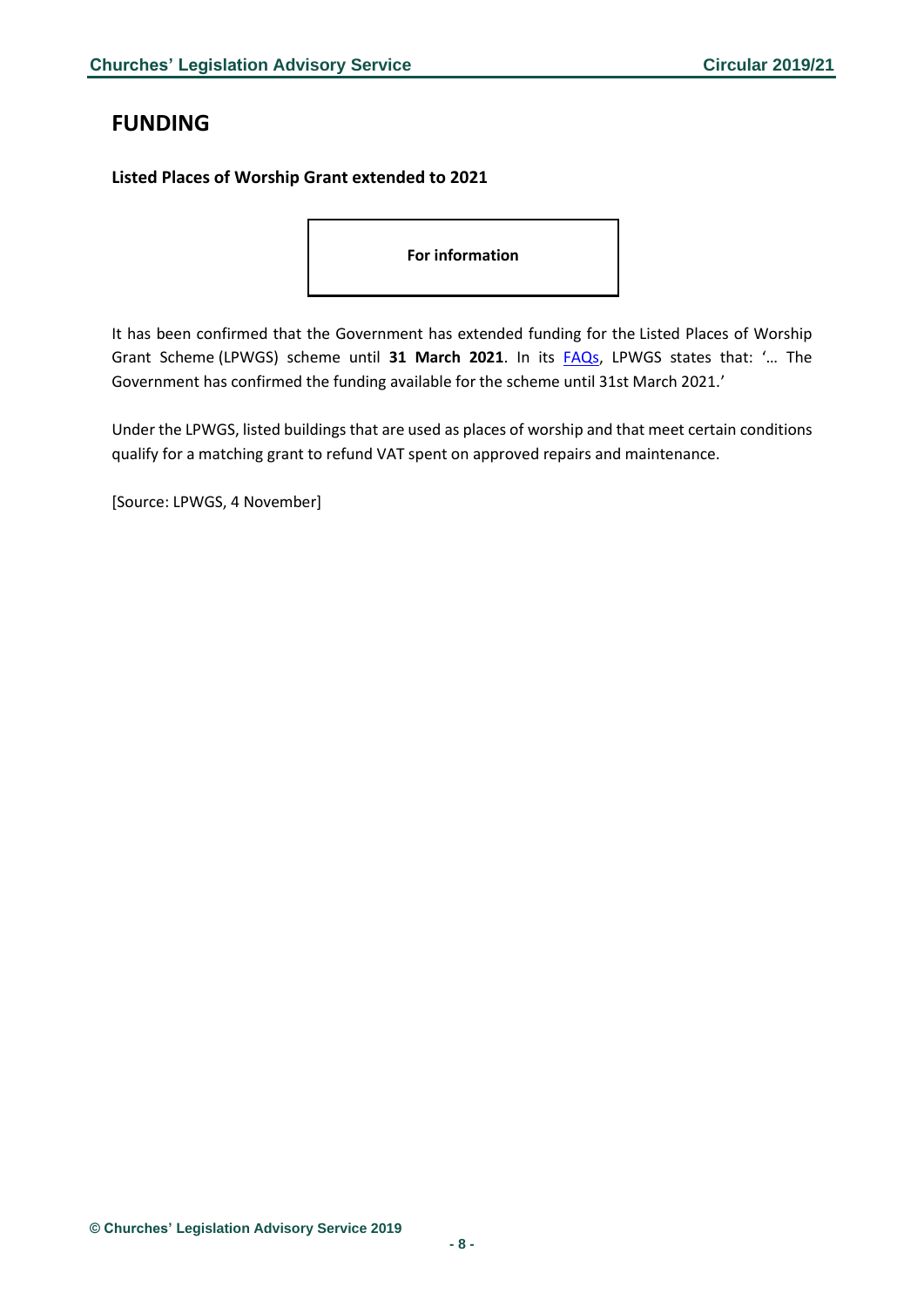# <span id="page-7-0"></span>**FUNDING**

### <span id="page-7-1"></span>**Listed Places of Worship Grant extended to 2021**

**For information** 

It has been confirmed that the Government has extended funding for the Listed Places of Worship Grant Scheme (LPWGS) scheme until **31 March 2021**. In its [FAQs,](http://www.lpwscheme.org.uk/frequently_asked_questions.html) LPWGS states that: '… The Government has confirmed the funding available for the scheme until 31st March 2021.'

Under the LPWGS, listed buildings that are used as places of worship and that meet certain conditions qualify for a matching grant to refund VAT spent on approved repairs and maintenance.

[Source: LPWGS, 4 November]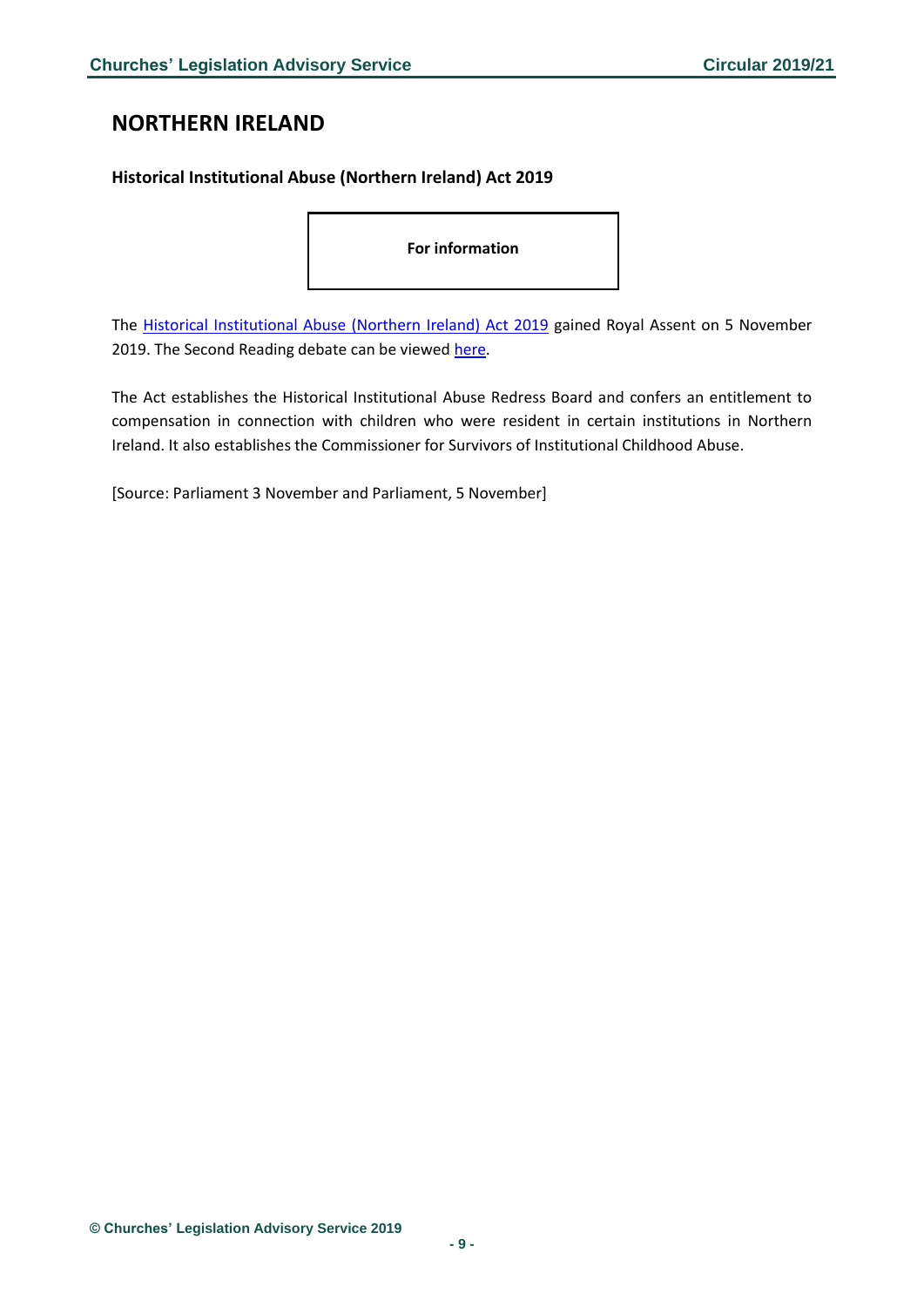# <span id="page-8-0"></span>**NORTHERN IRELAND**

### <span id="page-8-1"></span>**Historical Institutional Abuse (Northern Ireland) Act 2019**

**For information** 

The [Historical Institutional Abuse \(Northern Ireland\) Act 2019](https://services.parliament.uk/Bills/2019-19/historicalinstitutionalabusenorthernireland.html) gained Royal Assent on 5 November 2019. The Second Reading debate can be viewe[d here.](https://hansard.parliament.uk/commons/2019-11-05/debates/CCC5DFA0-67BC-4FD2-B869-3222DCEECCAF/HistoricalInstitutionalAbuse(NorthernIreland)Bill(Lords))

The Act establishes the Historical Institutional Abuse Redress Board and confers an entitlement to compensation in connection with children who were resident in certain institutions in Northern Ireland. It also establishes the Commissioner for Survivors of Institutional Childhood Abuse.

[Source: Parliament 3 November and Parliament, 5 November]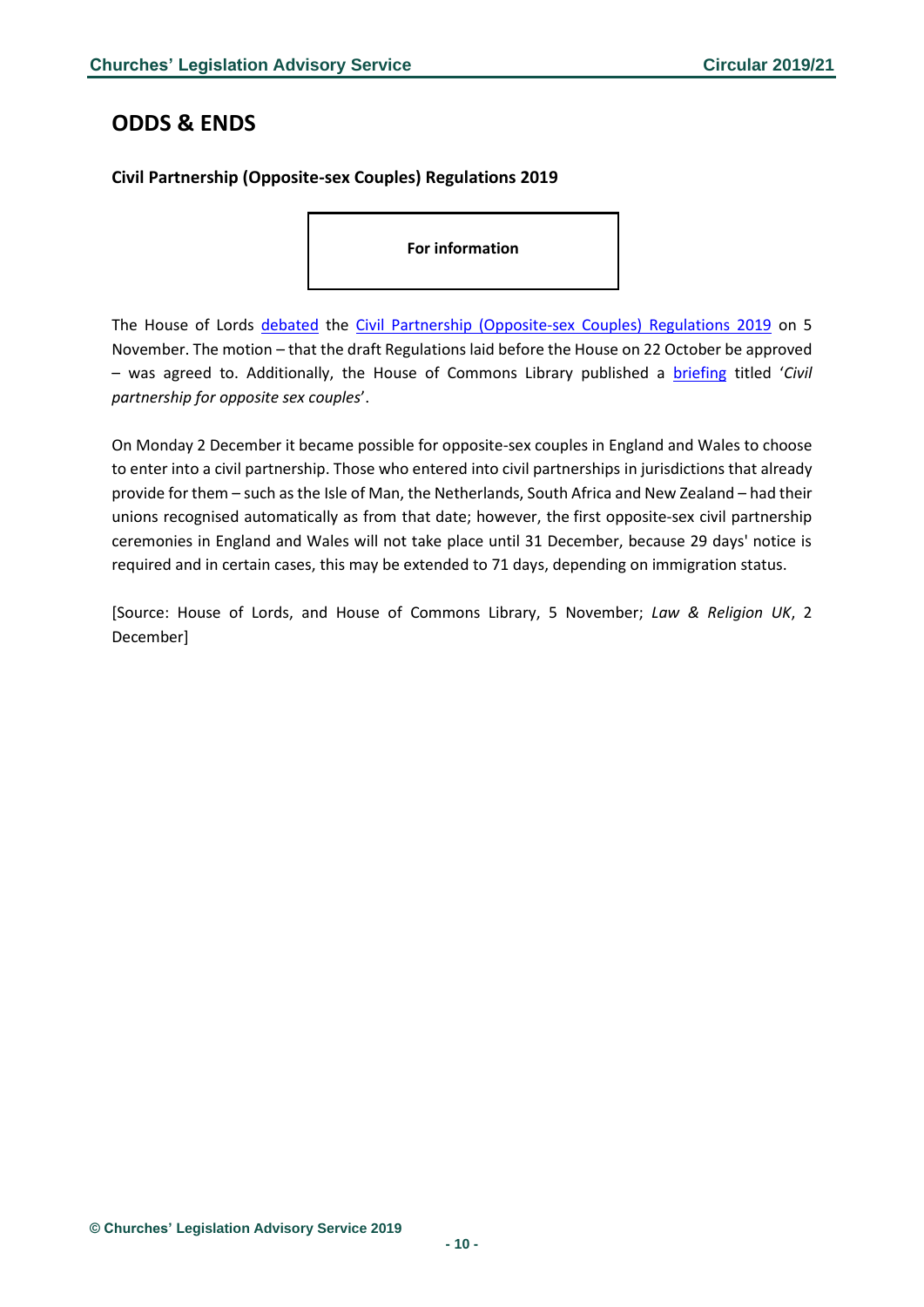### <span id="page-9-0"></span>**ODDS & ENDS**

### <span id="page-9-1"></span>**Civil Partnership (Opposite-sex Couples) Regulations 2019**

**For information** 

The House of Lords [debated](https://hansard.parliament.uk/Lords/2019-11-05/debates/3184F27B-407A-47E3-A4B8-F865CE5FF82A/CivilPartnership(Opposite-SexCouples)Regulations2019) the [Civil Partnership \(Opposite-sex Couples\) Regulations 2019](http://www.legislation.gov.uk/uksi/2019/1458/contents/made) on 5 November. The motion – that the draft Regulations laid before the House on 22 October be approved – was agreed to. Additionally, the House of Commons Library published a [briefing](https://researchbriefings.parliament.uk/ResearchBriefing/Summary/CBP-8609) titled '*Civil partnership for opposite sex couples*'.

On Monday 2 December it became possible for opposite-sex couples in England and Wales to choose to enter into a civil partnership. Those who entered into civil partnerships in jurisdictions that already provide for them – such as the Isle of Man, the Netherlands, South Africa and New Zealand – had their unions recognised automatically as from that date; however, the first opposite-sex civil partnership ceremonies in England and Wales will not take place until 31 December, because 29 days' notice is required and in certain cases, this may be extended to 71 days, depending on immigration status.

[Source: House of Lords, and House of Commons Library, 5 November; *Law & Religion UK*, 2 December]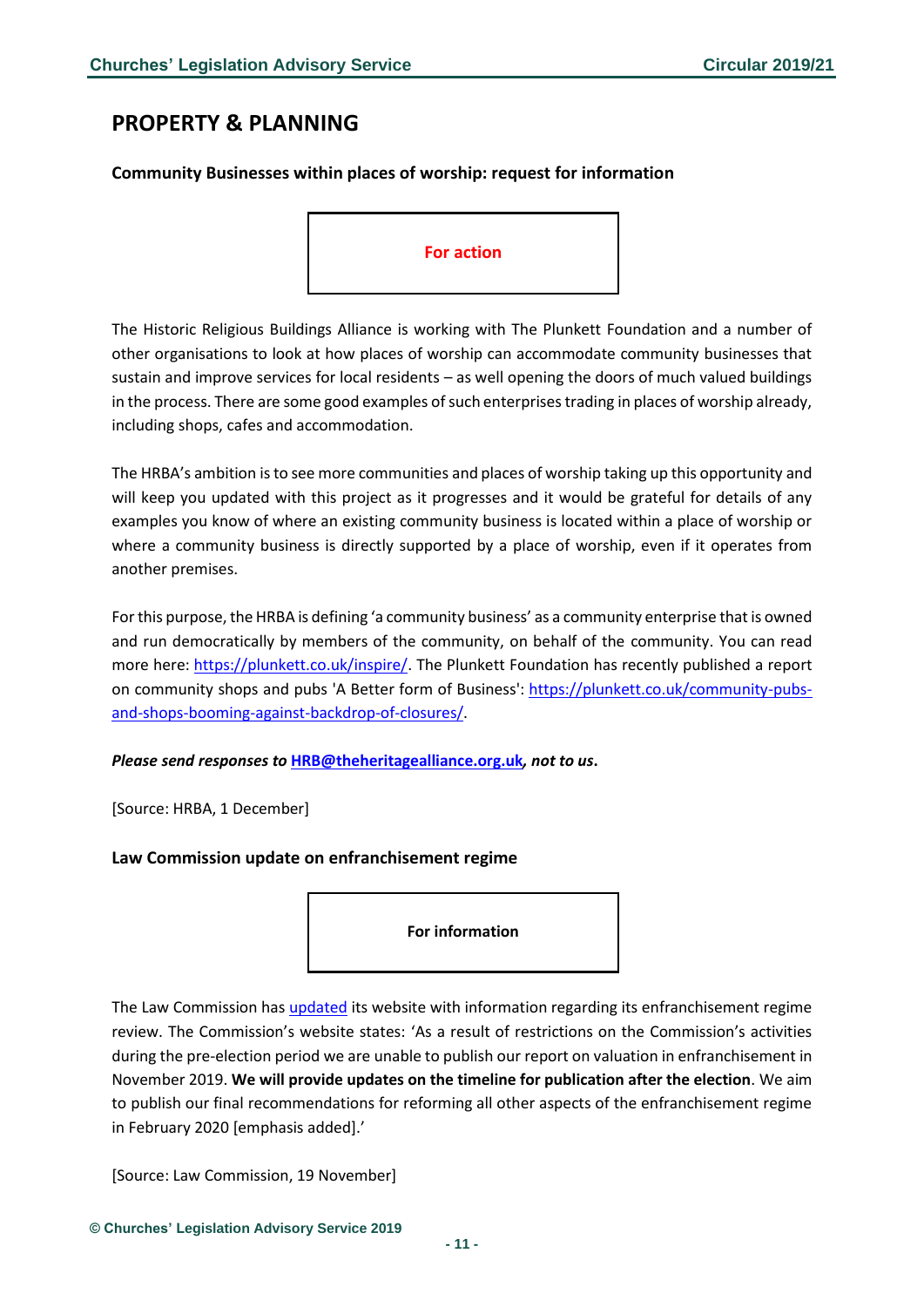# <span id="page-10-0"></span>**PROPERTY & PLANNING**

### <span id="page-10-1"></span>**Community Businesses within places of worship: request for information**



The Historic Religious Buildings Alliance is working with The Plunkett Foundation and a number of other organisations to look at how places of worship can accommodate community businesses that sustain and improve services for local residents – as well opening the doors of much valued buildings in the process. There are some good examples of such enterprises trading in places of worship already, including shops, cafes and accommodation.

The HRBA's ambition is to see more communities and places of worship taking up this opportunity and will keep you updated with this project as it progresses and it would be grateful for details of any examples you know of where an existing community business is located within a place of worship or where a community business is directly supported by a place of worship, even if it operates from another premises.

For this purpose, the HRBA is defining 'a community business' as a community enterprise that is owned and run democratically by members of the community, on behalf of the community. You can read more here: [https://plunkett.co.uk/inspire/.](https://hrballiance.us5.list-manage.com/track/click?u=9215d2d845d06a9c2417f5c88&id=2b6d3e64c6&e=2a518bf60b) The Plunkett Foundation has recently published a report on community shops and pubs 'A Better form of Business': [https://plunkett.co.uk/community-pubs](https://hrballiance.us5.list-manage.com/track/click?u=9215d2d845d06a9c2417f5c88&id=27911d597a&e=2a518bf60b)[and-shops-booming-against-backdrop-of-closures/.](https://hrballiance.us5.list-manage.com/track/click?u=9215d2d845d06a9c2417f5c88&id=27911d597a&e=2a518bf60b)

*Please send responses to* **[HRB@theheritagealliance.org.uk](mailto:HRB@theheritagealliance.org.uk)***, not to us***.**

[Source: HRBA, 1 December]

#### <span id="page-10-2"></span>**Law Commission update on enfranchisement regime**

**For information**

The Law Commission has *updated* its website with information regarding its enfranchisement regime review. The Commission's website states: 'As a result of restrictions on the Commission's activities during the pre-election period we are unable to publish our report on valuation in enfranchisement in November 2019. **We will provide updates on the timeline for publication after the election**. We aim to publish our final recommendations for reforming all other aspects of the enfranchisement regime in February 2020 [emphasis added].'

[Source: Law Commission, 19 November]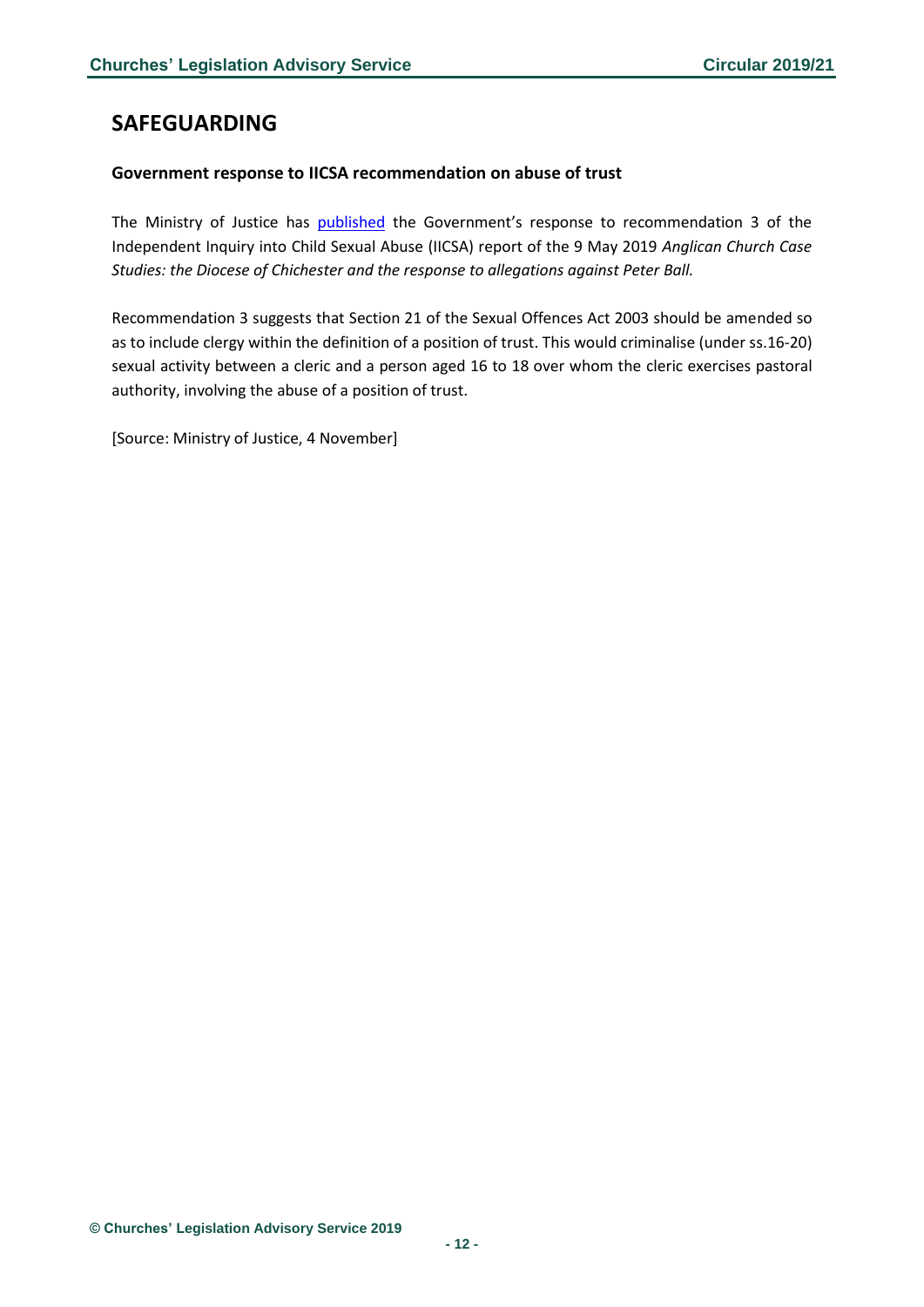# <span id="page-11-0"></span>**SAFEGUARDING**

### <span id="page-11-1"></span>**Government response to IICSA recommendation on abuse of trust**

The Ministry of Justice has **published** the Government's response to recommendation 3 of the Independent Inquiry into Child Sexual Abuse (IICSA) report of the 9 May 2019 *Anglican Church Case Studies: the Diocese of Chichester and the response to allegations against Peter Ball.*

Recommendation 3 suggests that Section 21 of the Sexual Offences Act 2003 should be amended so as to include clergy within the definition of a position of trust. This would criminalise (under ss.16-20) sexual activity between a cleric and a person aged 16 to 18 over whom the cleric exercises pastoral authority, involving the abuse of a position of trust.

[Source: Ministry of Justice, 4 November]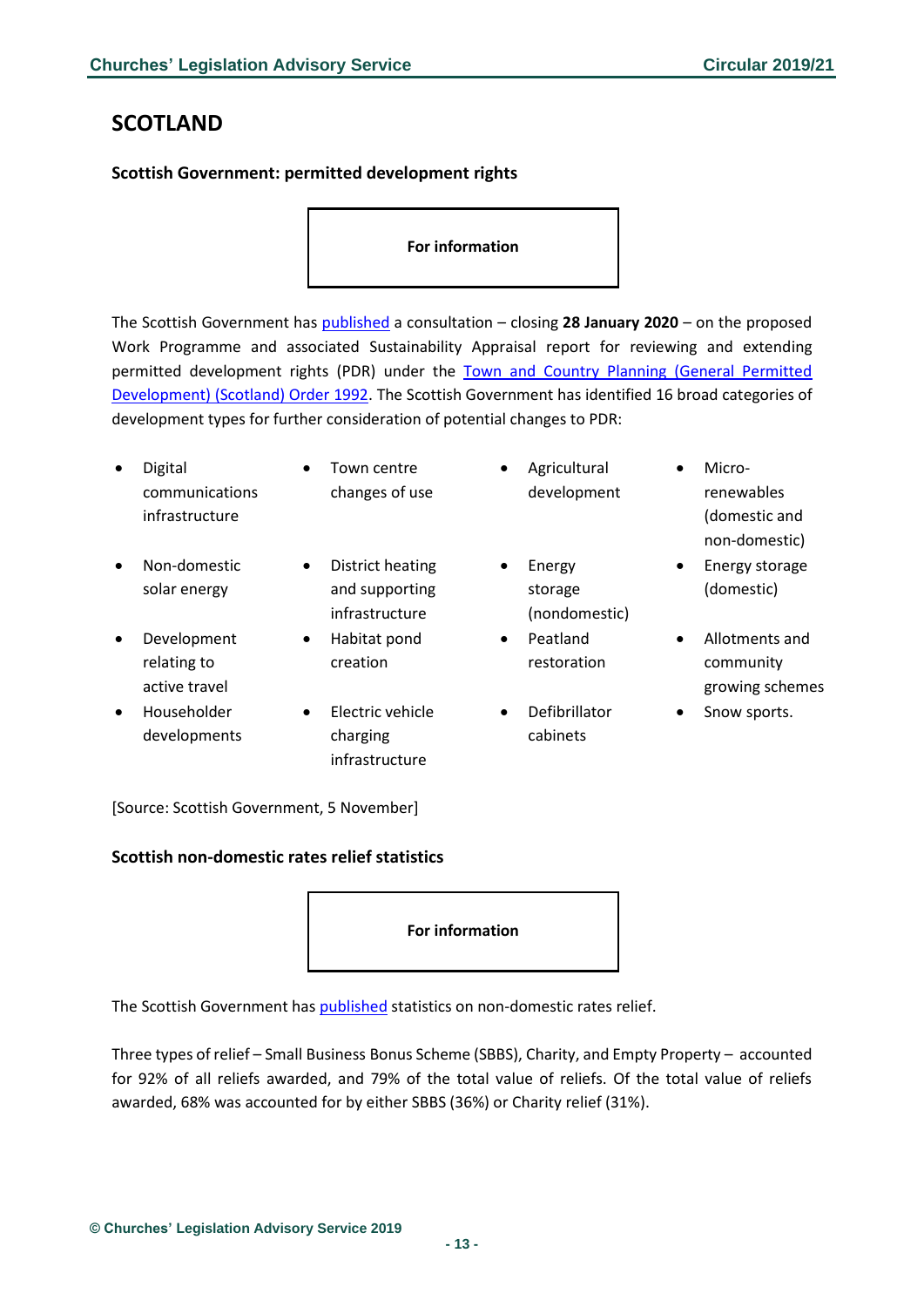# <span id="page-12-0"></span>**SCOTLAND**

### <span id="page-12-1"></span>**Scottish Government: permitted development rights**

#### **For information**

The Scottish Government has [published](https://consult.gov.scot/local-government-and-communities/reviewing-and-extending-pdr/) a consultation – closing **28 January 2020** – on the proposed Work Programme and associated Sustainability Appraisal report for reviewing and extending permitted development rights (PDR) under the Town and Country Planning (General Permitted [Development\) \(Scotland\) Order 1992.](https://www.legislation.gov.uk/uksi/1992/223/contents/made) The Scottish Government has identified 16 broad categories of development types for further consideration of potential changes to PDR:

| $\bullet$ | Digital<br>communications<br>infrastructure | $\bullet$ | Town centre<br>changes of use                        | $\bullet$ | Agricultural<br>development        | $\bullet$ | Micro-<br>renewables<br>(domestic and<br>non-domestic) |
|-----------|---------------------------------------------|-----------|------------------------------------------------------|-----------|------------------------------------|-----------|--------------------------------------------------------|
| $\bullet$ | Non-domestic<br>solar energy                | $\bullet$ | District heating<br>and supporting<br>infrastructure | $\bullet$ | Energy<br>storage<br>(nondomestic) | $\bullet$ | Energy storage<br>(domestic)                           |
| $\bullet$ | Development<br>relating to<br>active travel | $\bullet$ | Habitat pond<br>creation                             | $\bullet$ | Peatland<br>restoration            | $\bullet$ | Allotments and<br>community<br>growing schemes         |
| $\bullet$ | Householder                                 | $\bullet$ | Electric vehicle                                     |           | Defibrillator                      | ٠         | Snow sports.                                           |

cabinets

[Source: Scottish Government, 5 November]

developments

#### <span id="page-12-2"></span>**Scottish non-domestic rates relief statistics**

#### **For information**

The Scottish Government has [published](https://www2.gov.scot/Resource/0054/00548753.docx) statistics on non-domestic rates relief.

charging infrastructure

Three types of relief – Small Business Bonus Scheme (SBBS), Charity, and Empty Property – accounted for 92% of all reliefs awarded, and 79% of the total value of reliefs. Of the total value of reliefs awarded, 68% was accounted for by either SBBS (36%) or Charity relief (31%).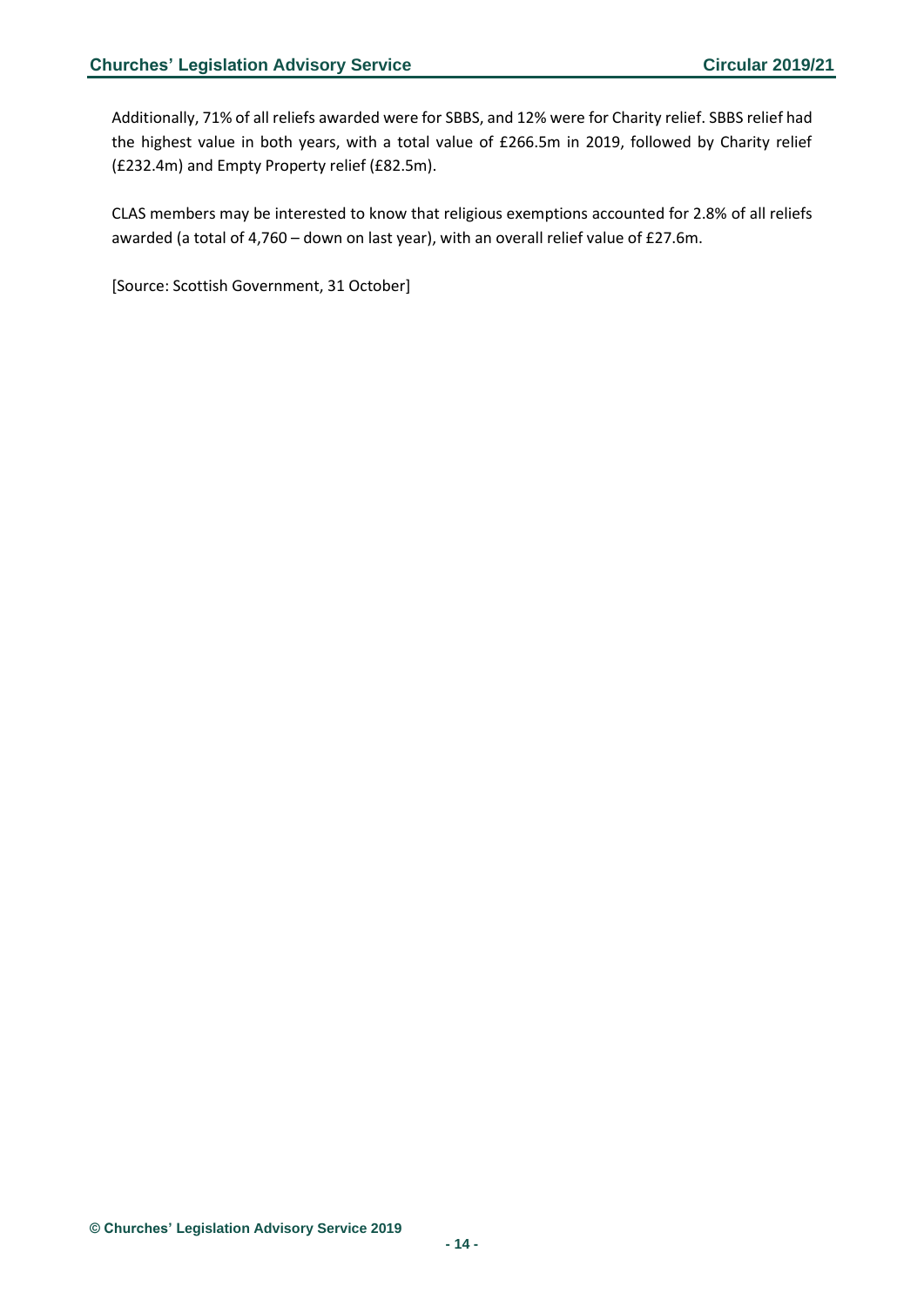Additionally, 71% of all reliefs awarded were for SBBS, and 12% were for Charity relief. SBBS relief had the highest value in both years, with a total value of £266.5m in 2019, followed by Charity relief (£232.4m) and Empty Property relief (£82.5m).

CLAS members may be interested to know that religious exemptions accounted for 2.8% of all reliefs awarded (a total of 4,760 – down on last year), with an overall relief value of £27.6m.

[Source: Scottish Government, 31 October]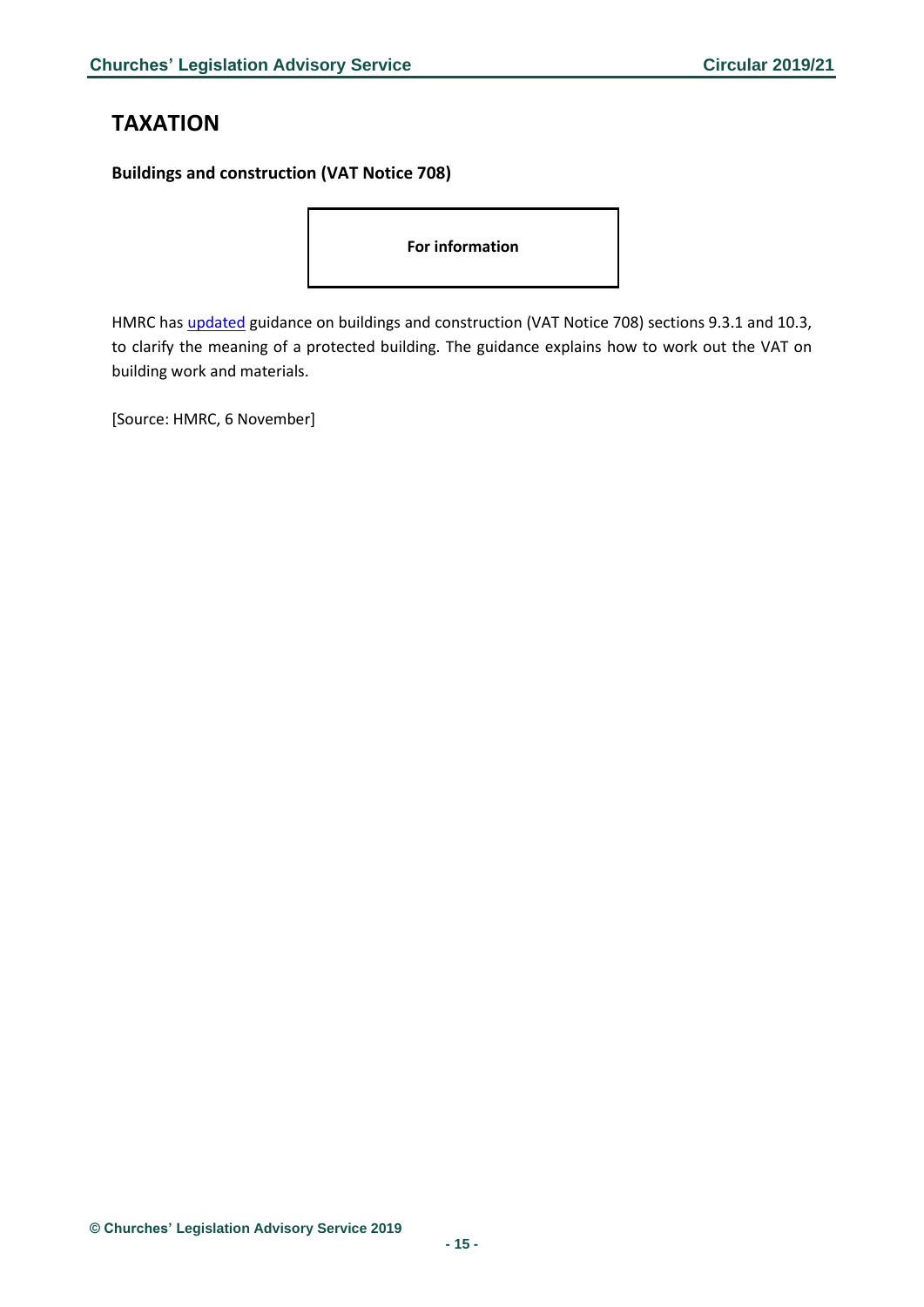# <span id="page-14-0"></span>**TAXATION**

<span id="page-14-1"></span>**Buildings and construction (VAT Notice 708)**

**For information**

HMRC ha[s updated](https://www.gov.uk/guidance/buildings-and-construction-vat-notice-708?utm_source=23cec6b5-8fed-40b5-8a7c-66e12db9956b&utm_medium=email&utm_campaign=govuk-notifications&utm_content=daily#history) guidance on buildings and construction (VAT Notice 708) sections 9.3.1 and 10.3, to clarify the meaning of a protected building. The guidance explains how to work out the VAT on building work and materials.

[Source: HMRC, 6 November]